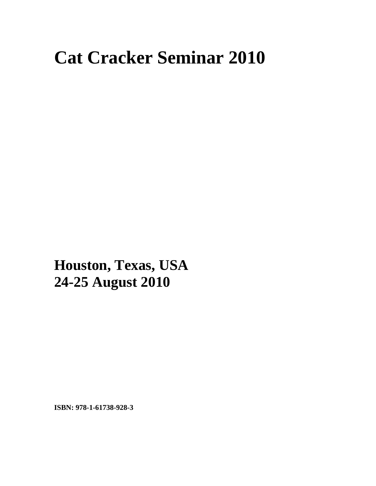## **Cat Cracker Seminar 2010**

**xxx Houston, Texas, USA 24-25 August 2010** 

**ISBN: 978-1-61738-928-3**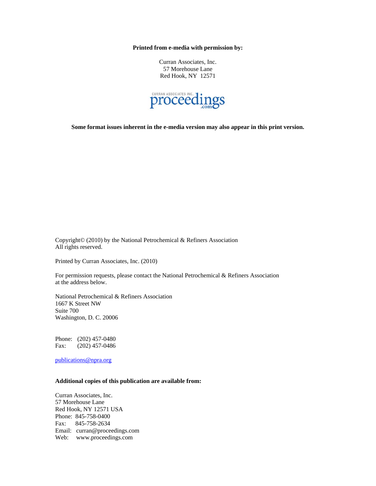**Printed from e-media with permission by:** 

Curran Associates, Inc. 57 Morehouse Lane Red Hook, NY 12571



**Some format issues inherent in the e-media version may also appear in this print version.** 

Copyright© (2010) by the National Petrochemical & Refiners Association All rights reserved.

Printed by Curran Associates, Inc. (2010)

For permission requests, please contact the National Petrochemical & Refiners Association at the address below.

National Petrochemical & Refiners Association 1667 K Street NW Suite 700 Washington, D. C. 20006

Phone: (202) 457-0480 Fax: (202) 457-0486

publications@npra.org

## **Additional copies of this publication are available from:**

Curran Associates, Inc. 57 Morehouse Lane Red Hook, NY 12571 USA Phone: 845-758-0400 Fax: 845-758-2634 Email: curran@proceedings.com Web: www.proceedings.com